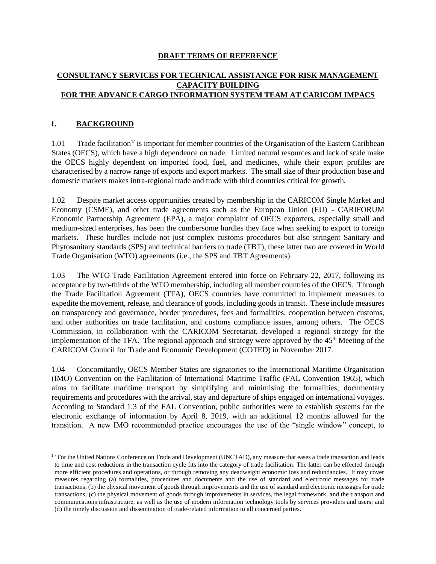### **DRAFT TERMS OF REFERENCE**

# **CONSULTANCY SERVICES FOR TECHNICAL ASSISTANCE FOR RISK MANAGEMENT CAPACITY BUILDING FOR THE ADVANCE CARGO INFORMATION SYSTEM TEAM AT CARICOM IMPACS**

## **1. BACKGROUND**

1.01 Trade facilitation<sup> $1/$ </sup> is important for member countries of the Organisation of the Eastern Caribbean States (OECS), which have a high dependence on trade. Limited natural resources and lack of scale make the OECS highly dependent on imported food, fuel, and medicines, while their export profiles are characterised by a narrow range of exports and export markets. The small size of their production base and domestic markets makes intra-regional trade and trade with third countries critical for growth.

1.02 Despite market access opportunities created by membership in the CARICOM Single Market and Economy (CSME), and other trade agreements such as the European Union (EU) - CARIFORUM Economic Partnership Agreement (EPA), a major complaint of OECS exporters, especially small and medium-sized enterprises, has been the cumbersome hurdles they face when seeking to export to foreign markets. These hurdles include not just complex customs procedures but also stringent Sanitary and Phytosanitary standards (SPS) and technical barriers to trade (TBT), these latter two are covered in World Trade Organisation (WTO) agreements (i.e., the SPS and TBT Agreements).

1.03 The WTO Trade Facilitation Agreement entered into force on February 22, 2017, following its acceptance by two-thirds of the WTO membership, including all member countries of the OECS. Through the Trade Facilitation Agreement (TFA), OECS countries have committed to implement measures to expedite the movement, release, and clearance of goods, including goods in transit. These include measures on transparency and governance, border procedures, fees and formalities, cooperation between customs, and other authorities on trade facilitation, and customs compliance issues, among others. The OECS Commission, in collaboration with the CARICOM Secretariat, developed a regional strategy for the implementation of the TFA. The regional approach and strategy were approved by the  $45<sup>th</sup>$  Meeting of the CARICOM Council for Trade and Economic Development (COTED) in November 2017.

1.04 Concomitantly, OECS Member States are signatories to the International Maritime Organisation (IMO) Convention on the Facilitation of International Maritime Traffic (FAL Convention 1965), which aims to facilitate maritime transport by simplifying and minimising the formalities, documentary requirements and procedures with the arrival, stay and departure of ships engaged on international voyages. According to Standard 1.3 of the FAL Convention, public authorities were to establish systems for the electronic exchange of information by April 8, 2019, with an additional 12 months allowed for the transition. A new IMO recommended practice encourages the use of the "single window" concept, to

 $1/$  For the United Nations Conference on Trade and Development (UNCTAD), any measure that eases a trade transaction and leads to time and cost reductions in the transaction cycle fits into the category of trade facilitation. The latter can be effected through more efficient procedures and operations, or through removing any deadweight economic loss and redundancies. It may cover measures regarding (a) formalities, procedures and documents and the use of standard and electronic messages for trade transactions; (b) the physical movement of goods through improvements and the use of standard and electronic messages for trade transactions; (c) the physical movement of goods through improvements in services, the legal framework, and the transport and communications infrastructure, as well as the use of modern information technology tools by services providers and users; and (d) the timely discussion and dissemination of trade-related information to all concerned parties.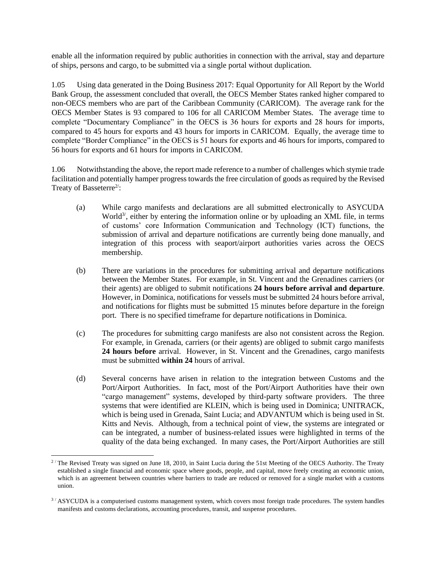enable all the information required by public authorities in connection with the arrival, stay and departure of ships, persons and cargo, to be submitted via a single portal without duplication.

1.05 Using data generated in the Doing Business 2017: Equal Opportunity for All Report by the World Bank Group, the assessment concluded that overall, the OECS Member States ranked higher compared to non-OECS members who are part of the Caribbean Community (CARICOM). The average rank for the OECS Member States is 93 compared to 106 for all CARICOM Member States. The average time to complete "Documentary Compliance" in the OECS is 36 hours for exports and 28 hours for imports, compared to 45 hours for exports and 43 hours for imports in CARICOM. Equally, the average time to complete "Border Compliance" in the OECS is 51 hours for exports and 46 hours for imports, compared to 56 hours for exports and 61 hours for imports in CARICOM.

1.06 Notwithstanding the above, the report made reference to a number of challenges which stymie trade facilitation and potentially hamper progress towards the free circulation of goods as required by the Revised Treaty of Basseterre<sup>2/</sup>:

- (a) While cargo manifests and declarations are all submitted electronically to ASYCUDA World<sup>3/</sup>, either by entering the information online or by uploading an XML file, in terms of customs' core Information Communication and Technology (ICT) functions, the submission of arrival and departure notifications are currently being done manually, and integration of this process with seaport/airport authorities varies across the OECS membership.
- (b) There are variations in the procedures for submitting arrival and departure notifications between the Member States. For example, in St. Vincent and the Grenadines carriers (or their agents) are obliged to submit notifications **24 hours before arrival and departure**. However, in Dominica, notifications for vessels must be submitted 24 hours before arrival, and notifications for flights must be submitted 15 minutes before departure in the foreign port. There is no specified timeframe for departure notifications in Dominica.
- (c) The procedures for submitting cargo manifests are also not consistent across the Region. For example, in Grenada, carriers (or their agents) are obliged to submit cargo manifests **24 hours before** arrival. However, in St. Vincent and the Grenadines, cargo manifests must be submitted **within 24** hours of arrival.
- (d) Several concerns have arisen in relation to the integration between Customs and the Port/Airport Authorities. In fact, most of the Port/Airport Authorities have their own "cargo management" systems, developed by third-party software providers. The three systems that were identified are KLEIN, which is being used in Dominica; UNITRACK, which is being used in Grenada, Saint Lucia; and ADVANTUM which is being used in St. Kitts and Nevis. Although, from a technical point of view, the systems are integrated or can be integrated, a number of business-related issues were highlighted in terms of the quality of the data being exchanged. In many cases, the Port/Airport Authorities are still

 $2/$  The Revised Treaty was signed on June 18, 2010, in Saint Lucia during the 51st Meeting of the OECS Authority. The Treaty established a single financial and economic space where goods, people, and capital, move freely creating an economic union, which is an agreement between countries where barriers to trade are reduced or removed for a single market with a customs union.

<sup>&</sup>lt;sup>3/</sup> ASYCUDA is a computerised customs management system, which covers most foreign trade procedures. The system handles manifests and customs declarations, accounting procedures, transit, and suspense procedures.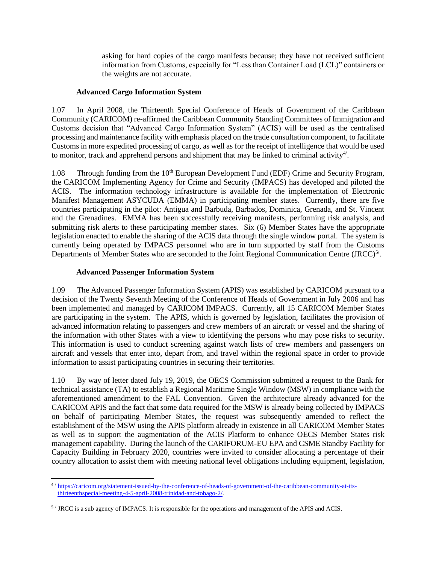asking for hard copies of the cargo manifests because; they have not received sufficient information from Customs, especially for "Less than Container Load (LCL)" containers or the weights are not accurate.

### **Advanced Cargo Information System**

1.07 In April 2008, the Thirteenth Special Conference of Heads of Government of the Caribbean Community (CARICOM) re-affirmed the Caribbean Community Standing Committees of Immigration and Customs decision that "Advanced Cargo Information System" (ACIS) will be used as the centralised processing and maintenance facility with emphasis placed on the trade consultation component, to facilitate Customs in more expedited processing of cargo, as well as for the receipt of intelligence that would be used to monitor, track and apprehend persons and shipment that may be linked to criminal activity<sup>4/</sup>.

1.08 Through funding from the 10<sup>th</sup> European Development Fund (EDF) Crime and Security Program, the CARICOM Implementing Agency for Crime and Security (IMPACS) has developed and piloted the ACIS. The information technology infrastructure is available for the implementation of Electronic Manifest Management ASYCUDA (EMMA) in participating member states. Currently, there are five countries participating in the pilot: Antigua and Barbuda, Barbados, Dominica, Grenada, and St. Vincent and the Grenadines. EMMA has been successfully receiving manifests, performing risk analysis, and submitting risk alerts to these participating member states. Six (6) Member States have the appropriate legislation enacted to enable the sharing of the ACIS data through the single window portal. The system is currently being operated by IMPACS personnel who are in turn supported by staff from the Customs Departments of Member States who are seconded to the Joint Regional Communication Centre (JRCC)<sup>5/</sup>.

### **Advanced Passenger Information System**

1.09 The Advanced Passenger Information System (APIS) was established by CARICOM pursuant to a decision of the Twenty Seventh Meeting of the Conference of Heads of Government in July 2006 and has been implemented and managed by CARICOM IMPACS. Currently, all 15 CARICOM Member States are participating in the system. The APIS, which is governed by legislation, facilitates the provision of advanced information relating to passengers and crew members of an aircraft or vessel and the sharing of the information with other States with a view to identifying the persons who may pose risks to security. This information is used to conduct screening against watch lists of crew members and passengers on aircraft and vessels that enter into, depart from, and travel within the regional space in order to provide information to assist participating countries in securing their territories.

1.10 By way of letter dated July 19, 2019, the OECS Commission submitted a request to the Bank for technical assistance (TA) to establish a Regional Maritime Single Window (MSW) in compliance with the aforementioned amendment to the FAL Convention. Given the architecture already advanced for the CARICOM APIS and the fact that some data required for the MSW is already being collected by IMPACS on behalf of participating Member States, the request was subsequently amended to reflect the establishment of the MSW using the APIS platform already in existence in all CARICOM Member States as well as to support the augmentation of the ACIS Platform to enhance OECS Member States risk management capability. During the launch of the CARIFORUM-EU EPA and CSME Standby Facility for Capacity Building in February 2020, countries were invited to consider allocating a percentage of their country allocation to assist them with meeting national level obligations including equipment, legislation,

<sup>4</sup> / [https://caricom.org/statement-issued-by-the-conference-of-heads-of-government-of-the-caribbean-community-at-its](https://caricom.org/statement-issued-by-the-conference-of-heads-of-government-of-the-caribbean-community-at-its-thirteenth-special-meeting-4-5-april-2008-trinidad-and-tobago-2/)[thirteenthspecial-meeting-4-5-april-2008-trinidad-and-tobago-2/.](https://caricom.org/statement-issued-by-the-conference-of-heads-of-government-of-the-caribbean-community-at-its-thirteenth-special-meeting-4-5-april-2008-trinidad-and-tobago-2/)

 $5/$  JRCC is a sub agency of IMPACS. It is responsible for the operations and management of the APIS and ACIS.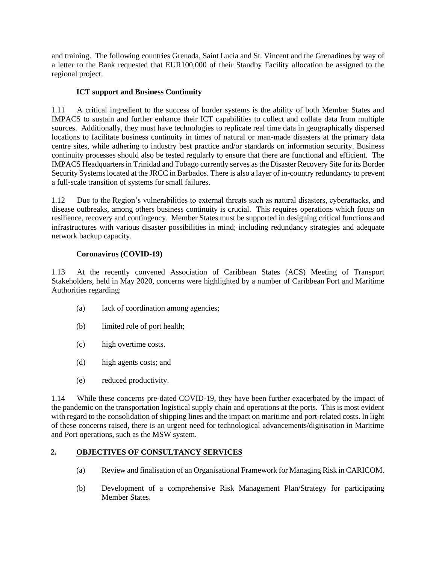and training. The following countries Grenada, Saint Lucia and St. Vincent and the Grenadines by way of a letter to the Bank requested that EUR100,000 of their Standby Facility allocation be assigned to the regional project.

# **ICT support and Business Continuity**

1.11 A critical ingredient to the success of border systems is the ability of both Member States and IMPACS to sustain and further enhance their ICT capabilities to collect and collate data from multiple sources. Additionally, they must have technologies to replicate real time data in geographically dispersed locations to facilitate business continuity in times of natural or man-made disasters at the primary data centre sites, while adhering to industry best practice and/or standards on information security. Business continuity processes should also be tested regularly to ensure that there are functional and efficient. The IMPACS Headquarters in Trinidad and Tobago currently serves as the Disaster Recovery Site for its Border Security Systems located at the JRCC in Barbados. There is also a layer of in-country redundancy to prevent a full-scale transition of systems for small failures.

1.12 Due to the Region's vulnerabilities to external threats such as natural disasters, cyberattacks, and disease outbreaks, among others business continuity is crucial. This requires operations which focus on resilience, recovery and contingency. Member States must be supported in designing critical functions and infrastructures with various disaster possibilities in mind; including redundancy strategies and adequate network backup capacity.

## **Coronavirus (COVID-19)**

1.13 At the recently convened Association of Caribbean States (ACS) Meeting of Transport Stakeholders, held in May 2020, concerns were highlighted by a number of Caribbean Port and Maritime Authorities regarding:

- (a) lack of coordination among agencies;
- (b) limited role of port health;
- (c) high overtime costs.
- (d) high agents costs; and
- (e) reduced productivity.

1.14 While these concerns pre-dated COVID-19, they have been further exacerbated by the impact of the pandemic on the transportation logistical supply chain and operations at the ports. This is most evident with regard to the consolidation of shipping lines and the impact on maritime and port-related costs. In light of these concerns raised, there is an urgent need for technological advancements/digitisation in Maritime and Port operations, such as the MSW system.

# **2. OBJECTIVES OF CONSULTANCY SERVICES**

- (a) Review and finalisation of an Organisational Framework for Managing Risk in CARICOM.
- (b) Development of a comprehensive Risk Management Plan/Strategy for participating Member States.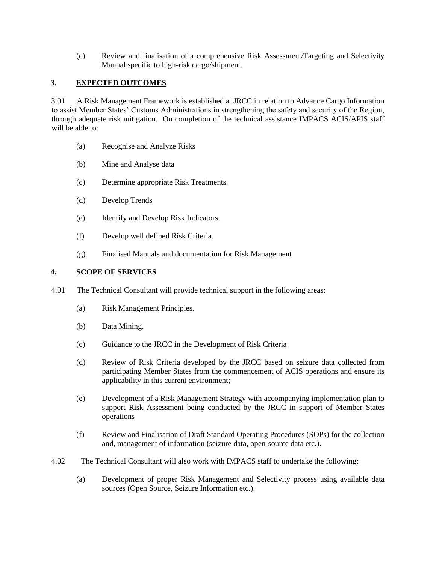(c) Review and finalisation of a comprehensive Risk Assessment/Targeting and Selectivity Manual specific to high-risk cargo/shipment.

## **3. EXPECTED OUTCOMES**

3.01 A Risk Management Framework is established at JRCC in relation to Advance Cargo Information to assist Member States' Customs Administrations in strengthening the safety and security of the Region, through adequate risk mitigation. On completion of the technical assistance IMPACS ACIS/APIS staff will be able to:

- (a) Recognise and Analyze Risks
- (b) Mine and Analyse data
- (c) Determine appropriate Risk Treatments.
- (d) Develop Trends
- (e) Identify and Develop Risk Indicators.
- (f) Develop well defined Risk Criteria.
- (g) Finalised Manuals and documentation for Risk Management

### **4. SCOPE OF SERVICES**

- 4.01 The Technical Consultant will provide technical support in the following areas:
	- (a) Risk Management Principles.
	- (b) Data Mining.
	- (c) Guidance to the JRCC in the Development of Risk Criteria
	- (d) Review of Risk Criteria developed by the JRCC based on seizure data collected from participating Member States from the commencement of ACIS operations and ensure its applicability in this current environment;
	- (e) Development of a Risk Management Strategy with accompanying implementation plan to support Risk Assessment being conducted by the JRCC in support of Member States operations
	- (f) Review and Finalisation of Draft Standard Operating Procedures (SOPs) for the collection and, management of information (seizure data, open-source data etc.).
- 4.02 The Technical Consultant will also work with IMPACS staff to undertake the following:
	- (a) Development of proper Risk Management and Selectivity process using available data sources (Open Source, Seizure Information etc.).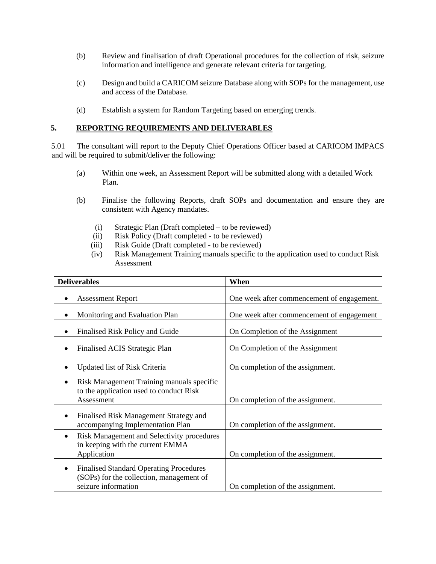- (b) Review and finalisation of draft Operational procedures for the collection of risk, seizure information and intelligence and generate relevant criteria for targeting.
- (c) Design and build a CARICOM seizure Database along with SOPs for the management, use and access of the Database.
- (d) Establish a system for Random Targeting based on emerging trends.

#### **5. REPORTING REQUIREMENTS AND DELIVERABLES**

5.01 The consultant will report to the Deputy Chief Operations Officer based at CARICOM IMPACS and will be required to submit/deliver the following:

- (a) Within one week, an Assessment Report will be submitted along with a detailed Work Plan.
- (b) Finalise the following Reports, draft SOPs and documentation and ensure they are consistent with Agency mandates.
	- (i) Strategic Plan (Draft completed to be reviewed)
	- (ii) Risk Policy (Draft completed to be reviewed)
	- (iii) Risk Guide (Draft completed to be reviewed)
	- (iv) Risk Management Training manuals specific to the application used to conduct Risk Assessment

| <b>Deliverables</b>                                                                                                            | When                                       |
|--------------------------------------------------------------------------------------------------------------------------------|--------------------------------------------|
| <b>Assessment Report</b>                                                                                                       | One week after commencement of engagement. |
| Monitoring and Evaluation Plan                                                                                                 | One week after commencement of engagement  |
| Finalised Risk Policy and Guide                                                                                                | On Completion of the Assignment            |
| Finalised ACIS Strategic Plan                                                                                                  | On Completion of the Assignment            |
| Updated list of Risk Criteria                                                                                                  | On completion of the assignment.           |
| Risk Management Training manuals specific<br>to the application used to conduct Risk<br>Assessment                             | On completion of the assignment.           |
| Finalised Risk Management Strategy and<br>$\bullet$<br>accompanying Implementation Plan                                        | On completion of the assignment.           |
| Risk Management and Selectivity procedures<br>$\bullet$<br>in keeping with the current EMMA<br>Application                     | On completion of the assignment.           |
| <b>Finalised Standard Operating Procedures</b><br>$\bullet$<br>(SOPs) for the collection, management of<br>seizure information | On completion of the assignment.           |